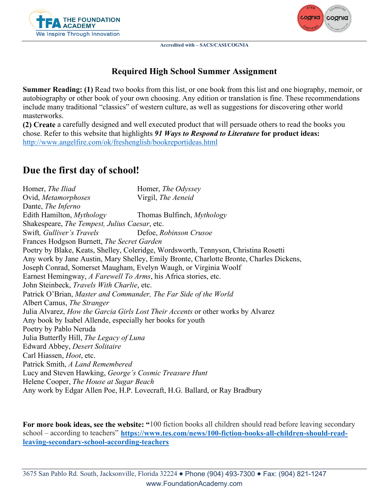



**Accredited with – SACS/CASI/COGNIA**

## **Required High School Summer Assignment**

**Summer Reading: (1)** Read two books from this list, or one book from this list and one biography, memoir, or autobiography or other book of your own choosing. Any edition or translation is fine. These recommendations include many traditional "classics" of western culture, as well as suggestions for discovering other world masterworks.

**(2) Create** a carefully designed and well executed product that will persuade others to read the books you chose. Refer to this website that highlights *91 Ways to Respond to Literature* **for product ideas:** <http://www.angelfire.com/ok/freshenglish/bookreportideas.html>

## **Due the first day of school!**

Homer, *The Iliad* Homer, *The Odyssey* Ovid, *Metamorphoses* Virgil, *The Aeneid* Dante, *The Inferno* Edith Hamilton, *Mythology* Thomas Bulfinch, *Mythology* Shakespeare, *The Tempest, Julius Caesar*, etc. Swift*, Gulliver's Travels* Defoe, *Robinson Crusoe* Frances Hodgson Burnett, *The Secret Garden* Poetry by Blake, Keats, Shelley, Coleridge, Wordsworth, Tennyson, Christina Rosetti Any work by Jane Austin, Mary Shelley, Emily Bronte, Charlotte Bronte, Charles Dickens, Joseph Conrad, Somerset Maugham, Evelyn Waugh, or Virginia Woolf Earnest Hemingway, *A Farewell To Arms*, his Africa stories, etc. John Steinbeck, *Travels With Charlie*, etc. Patrick O'Brian, *Master and Commander, The Far Side of the World* Albert Camus, *The Stranger* Julia Alvarez, *How the Garcia Girls Lost Their Accents* or other works by Alvarez Any book by Isabel Allende, especially her books for youth Poetry by Pablo Neruda Julia Butterfly Hill, *The Legacy of Luna* Edward Abbey, *Desert Solitaire* Carl Hiassen, *Hoot*, etc. Patrick Smith, *A Land Remembered* Lucy and Steven Hawking, *George's Cosmic Treasure Hunt* Helene Cooper, *The House at Sugar Beach* Any work by Edgar Allen Poe, H.P. Lovecraft, H.G. Ballard, or Ray Bradbury

**For more book ideas, see the website: "**100 fiction books all children should read before leaving secondary school – according to teachers" **[https://www.tes.com/news/100-fiction-books-all-children-should-read](https://www.tes.com/news/100-fiction-books-all-children-should-read-leaving-secondary-school-according-teachers)[leaving-secondary-school-according-teachers](https://www.tes.com/news/100-fiction-books-all-children-should-read-leaving-secondary-school-according-teachers)**